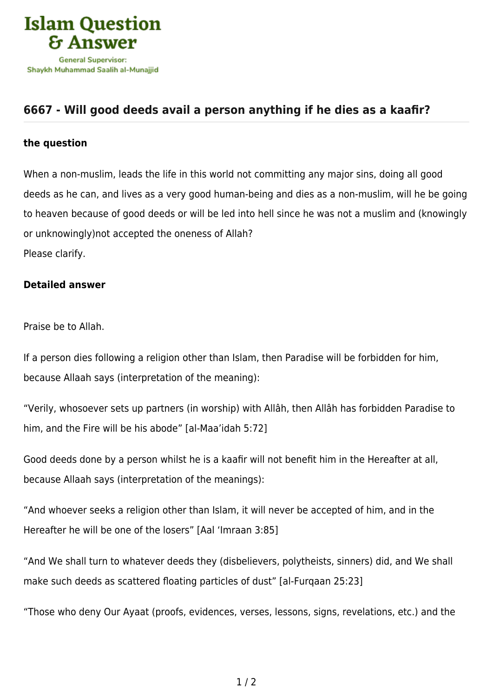

## **[6667 - Will good deeds avail a person anything if he dies as a kaafir?](https://islamqa.com/en/answers/6667/will-good-deeds-avail-a-person-anything-if-he-dies-as-a-kaafir)**

## **the question**

When a non-muslim, leads the life in this world not committing any major sins, doing all good deeds as he can, and lives as a very good human-being and dies as a non-muslim, will he be going to heaven because of good deeds or will be led into hell since he was not a muslim and (knowingly or unknowingly)not accepted the oneness of Allah? Please clarify.

## **Detailed answer**

Praise be to Allah.

If a person dies following a religion other than Islam, then Paradise will be forbidden for him, because Allaah says (interpretation of the meaning):

"Verily, whosoever sets up partners (in worship) with Allâh, then Allâh has forbidden Paradise to him, and the Fire will be his abode" [al-Maa'idah 5:72]

Good deeds done by a person whilst he is a kaafir will not benefit him in the Hereafter at all, because Allaah says (interpretation of the meanings):

"And whoever seeks a religion other than Islam, it will never be accepted of him, and in the Hereafter he will be one of the losers" [Aal 'Imraan 3:85]

"And We shall turn to whatever deeds they (disbelievers, polytheists, sinners) did, and We shall make such deeds as scattered floating particles of dust" [al-Furqaan 25:23]

"Those who deny Our Ayaat (proofs, evidences, verses, lessons, signs, revelations, etc.) and the